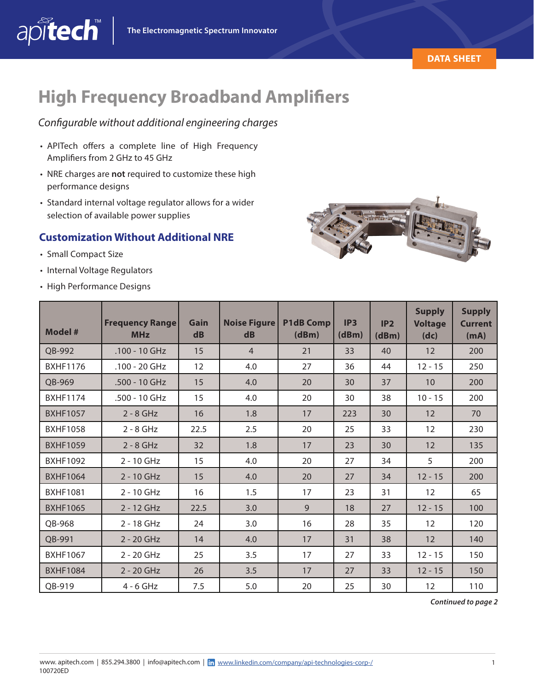



# **High Frequency Broadband Amplifiers**

#### *Configurable without additional engineering charges*

- APITech offers a complete line of High Frequency Amplifiers from 2 GHz to 45 GHz
- NRE charges are **not** required to customize these high performance designs
- Standard internal voltage regulator allows for a wider selection of available power supplies

### **Customization Without Additional NRE**

• Small Compact Size

apitech

- Internal Voltage Regulators
- High Performance Designs



| Model #         | <b>Frequency Range</b><br><b>MHz</b> | Gain<br>d <b>B</b> | <b>Noise Figure</b><br>d <b>B</b> | <b>P1dB Comp</b><br>(dBm) | IP3<br>(dBm) | IP2<br>(dBm) | <b>Supply</b><br><b>Voltage</b><br>(dc) | <b>Supply</b><br><b>Current</b><br>(mA) |
|-----------------|--------------------------------------|--------------------|-----------------------------------|---------------------------|--------------|--------------|-----------------------------------------|-----------------------------------------|
| QB-992          | $.100 - 10$ GHz                      | 15                 | $\overline{4}$                    | 21                        | 33           | 40           | 12                                      | 200                                     |
| <b>BXHF1176</b> | $.100 - 20$ GHz                      | 12                 | 4.0                               | 27                        | 36           | 44           | $12 - 15$                               | 250                                     |
| OB-969          | .500 - 10 GHz                        | 15                 | 4.0                               | 20                        | 30           | 37           | 10                                      | 200                                     |
| <b>BXHF1174</b> | .500 - 10 GHz                        | 15                 | 4.0                               | 20                        | 30           | 38           | $10 - 15$                               | 200                                     |
| <b>BXHF1057</b> | $2 - 8$ GHz                          | 16                 | 1.8                               | 17                        | 223          | 30           | 12                                      | 70                                      |
| <b>BXHF1058</b> | $2 - 8$ GHz                          | 22.5               | 2.5                               | 20                        | 25           | 33           | 12                                      | 230                                     |
| <b>BXHF1059</b> | $2 - 8$ GHz                          | 32                 | 1.8                               | 17                        | 23           | 30           | 12                                      | 135                                     |
| <b>BXHF1092</b> | 2 - 10 GHz                           | 15                 | 4.0                               | 20                        | 27           | 34           | 5                                       | 200                                     |
| <b>BXHF1064</b> | 2 - 10 GHz                           | 15                 | 4.0                               | 20                        | 27           | 34           | $12 - 15$                               | 200                                     |
| <b>BXHF1081</b> | 2 - 10 GHz                           | 16                 | 1.5                               | 17                        | 23           | 31           | 12                                      | 65                                      |
| <b>BXHF1065</b> | 2 - 12 GHz                           | 22.5               | 3.0                               | $\mathsf{Q}$              | 18           | 27           | $12 - 15$                               | 100                                     |
| QB-968          | 2 - 18 GHz                           | 24                 | 3.0                               | 16                        | 28           | 35           | 12                                      | 120                                     |
| QB-991          | 2 - 20 GHz                           | 14                 | 4.0                               | 17                        | 31           | 38           | 12                                      | 140                                     |
| <b>BXHF1067</b> | 2 - 20 GHz                           | 25                 | 3.5                               | 17                        | 27           | 33           | $12 - 15$                               | 150                                     |
| <b>BXHF1084</b> | $2 - 20$ GHz                         | 26                 | 3.5                               | 17                        | 27           | 33           | $12 - 15$                               | 150                                     |
| QB-919          | $4 - 6$ GHz                          | 7.5                | 5.0                               | 20                        | 25           | 30           | 12                                      | 110                                     |

*Continued to page 2*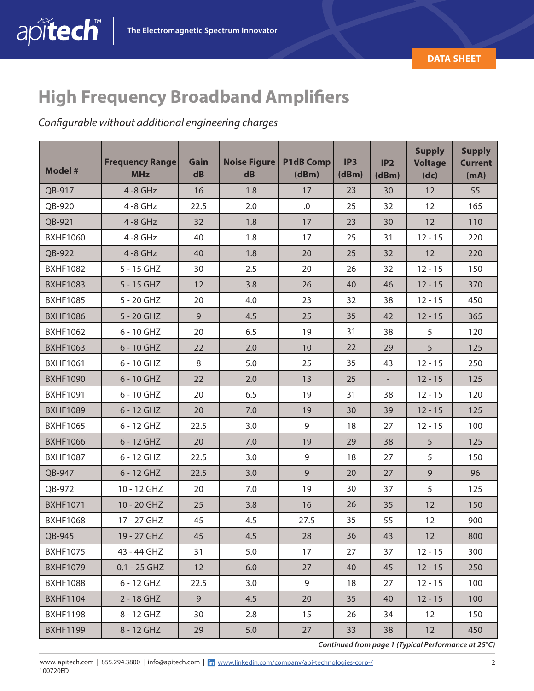

## **High Frequency Broadband Amplifiers**

### *Configurable without additional engineering charges*

| <b>Model #</b>  | <b>Frequency Range</b><br><b>MHz</b> | Gain<br>d <b>B</b> | Noise Figure<br>dB | <b>P1dB Comp</b><br>(dBm) | IP <sub>3</sub><br>(dBm) | IP2<br>(dBm)             | <b>Supply</b><br><b>Voltage</b><br>(dc) | <b>Supply</b><br><b>Current</b><br>(mA) |
|-----------------|--------------------------------------|--------------------|--------------------|---------------------------|--------------------------|--------------------------|-----------------------------------------|-----------------------------------------|
| QB-917          | $4 - 8$ GHz                          | 16                 | 1.8                | 17                        | 23                       | 30                       | 12                                      | 55                                      |
| QB-920          | $4 - 8$ GHz                          | 22.5               | 2.0                | $.0$                      | 25                       | 32                       | 12                                      | 165                                     |
| QB-921          | $4 - 8$ GHz                          | 32                 | 1.8                | 17                        | 23                       | 30                       | 12                                      | 110                                     |
| <b>BXHF1060</b> | $4 - 8$ GHz                          | 40                 | 1.8                | 17                        | 25                       | 31                       | $12 - 15$                               | 220                                     |
| QB-922          | $4 - 8$ GHz                          | 40                 | 1.8                | 20                        | 25                       | 32                       | 12                                      | 220                                     |
| <b>BXHF1082</b> | 5 - 15 GHZ                           | 30                 | 2.5                | 20                        | 26                       | 32                       | $12 - 15$                               | 150                                     |
| <b>BXHF1083</b> | 5 - 15 GHZ                           | 12                 | 3.8                | 26                        | 40                       | 46                       | $12 - 15$                               | 370                                     |
| <b>BXHF1085</b> | 5 - 20 GHZ                           | 20                 | 4.0                | 23                        | 32                       | 38                       | $12 - 15$                               | 450                                     |
| <b>BXHF1086</b> | 5 - 20 GHZ                           | 9                  | 4.5                | 25                        | 35                       | 42                       | $12 - 15$                               | 365                                     |
| <b>BXHF1062</b> | 6 - 10 GHZ                           | 20                 | 6.5                | 19                        | 31                       | 38                       | 5                                       | 120                                     |
| <b>BXHF1063</b> | 6 - 10 GHZ                           | 22                 | 2.0                | 10                        | 22                       | 29                       | 5                                       | 125                                     |
| <b>BXHF1061</b> | 6 - 10 GHZ                           | 8                  | 5.0                | 25                        | 35                       | 43                       | $12 - 15$                               | 250                                     |
| <b>BXHF1090</b> | 6 - 10 GHZ                           | 22                 | 2.0                | 13                        | 25                       | $\overline{\phantom{a}}$ | $12 - 15$                               | 125                                     |
| <b>BXHF1091</b> | 6 - 10 GHZ                           | 20                 | 6.5                | 19                        | 31                       | 38                       | $12 - 15$                               | 120                                     |
| <b>BXHF1089</b> | 6 - 12 GHZ                           | 20                 | 7.0                | 19                        | 30                       | 39                       | $12 - 15$                               | 125                                     |
| <b>BXHF1065</b> | 6 - 12 GHZ                           | 22.5               | 3.0                | 9                         | 18                       | 27                       | $12 - 15$                               | 100                                     |
| <b>BXHF1066</b> | 6 - 12 GHZ                           | 20                 | 7.0                | 19                        | 29                       | 38                       | 5                                       | 125                                     |
| <b>BXHF1087</b> | 6 - 12 GHZ                           | 22.5               | 3.0                | 9                         | 18                       | 27                       | 5                                       | 150                                     |
| QB-947          | 6 - 12 GHZ                           | 22.5               | 3.0                | 9                         | 20                       | 27                       | 9                                       | 96                                      |
| QB-972          | 10 - 12 GHZ                          | 20                 | 7.0                | 19                        | 30                       | 37                       | 5                                       | 125                                     |
| <b>BXHF1071</b> | 10 - 20 GHZ                          | 25                 | 3.8                | 16                        | 26                       | 35                       | 12                                      | 150                                     |
| <b>BXHF1068</b> | 17 - 27 GHZ                          | 45                 | 4.5                | 27.5                      | 35                       | 55                       | 12                                      | 900                                     |
| QB-945          | 19 - 27 GHZ                          | 45                 | 4.5                | 28                        | 36                       | 43                       | 12                                      | 800                                     |
| <b>BXHF1075</b> | 43 - 44 GHZ                          | 31                 | 5.0                | 17                        | 27                       | 37                       | $12 - 15$                               | 300                                     |
| <b>BXHF1079</b> | $0.1 - 25$ GHZ                       | 12                 | 6.0                | 27                        | 40                       | 45                       | $12 - 15$                               | 250                                     |
| <b>BXHF1088</b> | 6 - 12 GHZ                           | 22.5               | 3.0                | 9                         | 18                       | 27                       | $12 - 15$                               | 100                                     |
| <b>BXHF1104</b> | 2 - 18 GHZ                           | 9                  | 4.5                | 20                        | 35                       | 40                       | $12 - 15$                               | 100                                     |
| <b>BXHF1198</b> | 8 - 12 GHZ                           | 30                 | 2.8                | 15                        | 26                       | 34                       | 12                                      | 150                                     |
| <b>BXHF1199</b> | 8 - 12 GHZ                           | 29                 | 5.0                | 27                        | 33                       | 38                       | 12                                      | 450                                     |

*Continued from page 1 (Typical Performance at 25*°*C)*